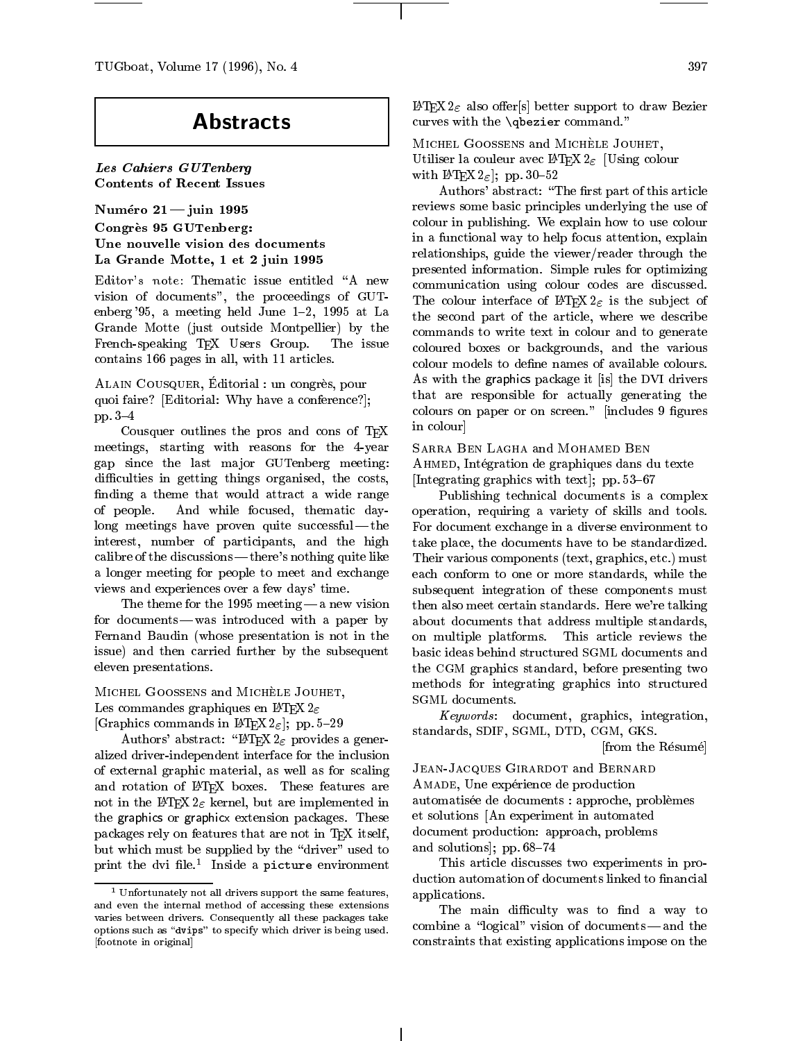TUGboat, Volume 17 (1996), No. 4

# **Abstracts**

Les Cahiers GUTenbergContents of Recent Issues

Numéro  $21 -$ juin 1995 Congres 95 GUTenberg: Une nouvelle vision des documentsLa Grande Motte, 1 et 2 juin 1995

Editor's note: Thematic issue entitled "A new vision of documents", the proceedings of GUT enberg '95, a meeting held June  $1-2$ , 1995 at La Grande Motte (just outside Montpellier) by the French-speaking T<sub>F</sub>X Users Group. The issue contains 166 pages in all, with 11 articles.

ALAIN COUSQUER, Editorial : un congrès, pour quoi faire? [Editorial: Why have a conference?]; pp.  $3-4$ 

Cousquer outlines the pros and cons of TEX meetings, starting with reasons for the 4-year gap since the last ma jor GUTenberg meeting: difficulties in getting things organised, the costs, finding a theme that would attract a wide range of people. And while focused, thematic day $long$  meetings have proven quite successful — the interest, number of participants, and the high calibre of the discussions| there's nothing quite like a longer meeting for people to meet and exchange views and experiences over a few days' time.

The theme for the 1995 meeting  $-$  a new vision for documents — was introduced with a paper by Fernand Baudin (whose presentation is not in the issue) and then carried further by the subsequent eleven presentations.

MICHEL GOOSSENS and MICHELE JOUHET, Les commandes graphiques en  $\mathbb{I}$ FEX $2_\varepsilon$ 

[Graphics commands in  $\text{LATEX} 2_{\varepsilon}$ ]; pp. 5-29

Authors' abstract: "IATEX  $2 \epsilon$  provides a generalized driver-independent interface for the inclusion of external graphic material, as well as for scaling and rotation of IATEX boxes. These features are not in the IATEX  $2\varepsilon$  kernel, but are implemented in the graphics or graphicx extension packages. These packages rely on features that are not in TFX itself, but which must be supplied by the "driver" used to print the avi nie. Inside a picture environment

 $\text{LATEX2}_{\varepsilon}$  also offer[s] better support to draw Bezier curves with the \qbezier command."

MICHEL GOOSSENS and MICHÈLE JOUHET, Utiliser la couleur avec  $\text{LATEX2}_{\varepsilon}$  [Using colour with  $\text{LATEX } 2_{\varepsilon}$ ; pp. 30-52

Authors' abstract: "The first part of this article reviews some basic principles underlying the use of colour in publishing. We explain how to use colour in a functional way to help focus attention, explain relationships, guide the viewer/reader through the presented information. Simple rules for optimizing communication using colour codes are discussed. The colour interface of  $\text{LATEX2}_{\epsilon}$  is the subject of the second part of the article, where we describe commands to write text in colour and to generate coloured boxes or backgrounds, and the various colour models to dene names of available colours. As with the graphics package it [is] the DVI drivers that are responsible for actually generating the colours on paper or on screen." [includes 9 figures in colour]

Sarra Ben Lagha and Mohamed Ben Ahmed, Integration de graphiques dans du texte

[Integrating graphics with text]; pp.  $53{-}67$ 

Publishing technical documents is a complex operation, requiring a variety of skills and tools. For document exchange in a diverse environment to take place, the documents have to be standardized. Their various components (text, graphics, etc.) must each conform to one or more standards, while the subsequent integration of these components must then also meet certain standards. Here we're talking about documents that address multiple standards, on multiple platforms. This article reviews the basic ideas behind structured SGML documents and the CGM graphics standard, before presenting two methods for integrating graphics into structured SGML documents.

Keywords : document, graphics, integration, standards, SDIF, SGML, DTD, CGM, GKS.

[from the Resume]

Jean-Jacques Girardot and Bernard AMADE, Une expérience de production automatisée de documents : approche, problèmes et solutions [An experiment in automated document production: approach, problems and solutions]; pp.  $68-74$ 

 applications. This article discusses two experiments in production automation of documents linked to financial

combine a "logical" vision of documents — and the The main difficulty was to find a way to constraints that existing applications impose on the

<sup>1</sup> Unfortunately not all drivers support the same features,and even the internal method of accessing these extensionsvaries between drivers. Consequently all these packages takeoptions such as "dvips" to specify which driver is being used. [footnote in original]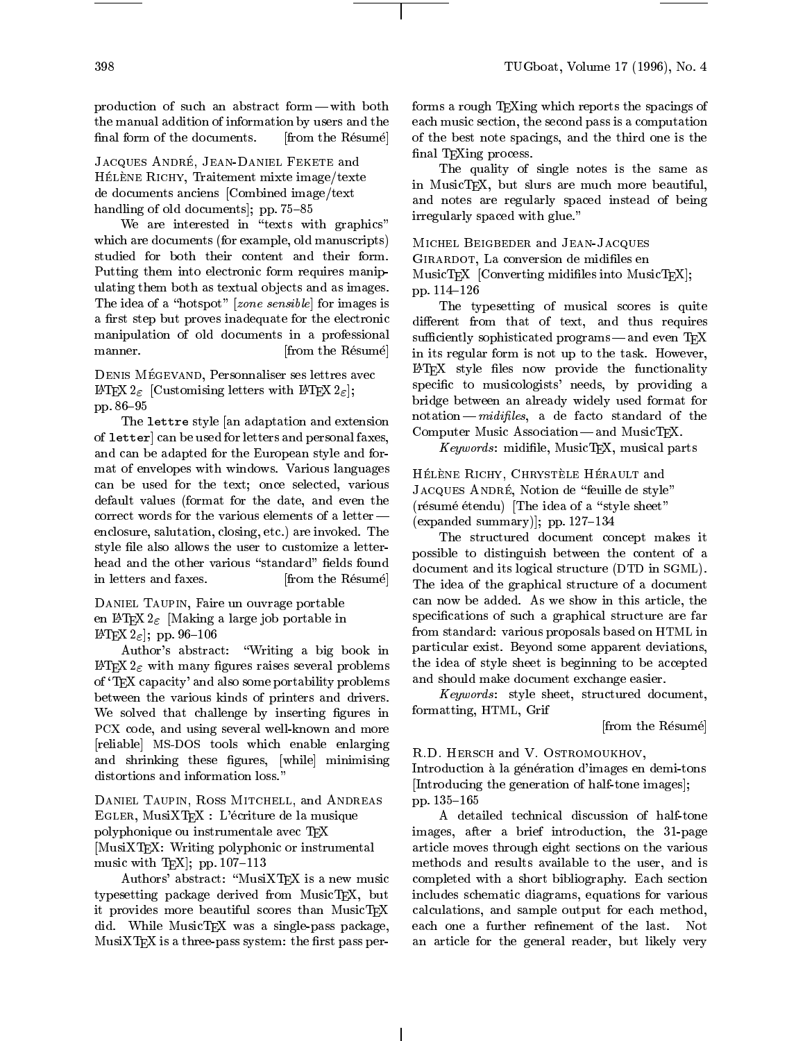production of such an abstract form  $-\text{ with both}$ the manual addition of information by users and the final form of the documents. [from the Résumé]

JACQUES ANDRÉ, JEAN-DANIEL FEKETE and HÉLÈNE RICHY, Traitement mixte image/texte de documents anciens [Combined image/text handling of old documents]; pp.  $75{-}85$ 

We are interested in "texts with graphics" which are documents (for example, old manuscripts) studied for both their content and their form. Putting them into electronic form requires manipulating them both as textual ob jects and as images. The idea of a "hotspot" [ $zone$  sensible] for images is a first step but proves inadequate for the electronic manipulation of old documents in a professional manner. [from the Résumé]

DENIS MÉGEVAND, Personnaliser ses lettres avec LATEX  $2_{\varepsilon}$  [Customising letters with LATEX  $2_{\varepsilon}$ ]; pp. 86-95

The lettre style [an adaptation and extension of letter] can be used for letters and personal faxes, and can be adapted for the European style and format of envelopes with windows. Various languages can be used for the text; once selected, various default values (format for the date, and even the correct words for the various elements of a letter  $$ enclosure, salutation, closing, etc.) are invoked. The style file also allows the user to customize a letterhead and the other various "standard" fields found in letters and faxes. [from the Résumé]

DANIEL TAUPIN, Faire un ouvrage portable en LATEX  $2\varepsilon$  [Making a large job portable in LATEX  $2_{\varepsilon}$ ; pp. 96-106

Author's abstract: \Writing a big book in  $\text{LATEX } 2\varepsilon$  with many figures raises several problems of `TEX capacity' and also some portability problems between the various kinds of printers and drivers. We solved that challenge by inserting figures in PCX code, and using several well-known and more [reliable] MS-DOS tools which enable enlarging and shrinking these figures, [while] minimising distortions and information loss."

Daniel Taupin, Ross Mitchell, and Andreas Egler, MusiXTEX : L'ecriture de la musique polyphonique ou instrumentale avec TEX [MusiXTEX: Writing polyphonic or instrumental music with TFX: pp.  $107-113$ 

Authors' abstract: "MusiXTEX is a new music typesetting package derived from MusicTEX, but it provides more beautiful scores than MusicTEX did. While MusicTEX was a single-pass package,  $MusixTFX$  is a three-pass system: the first pass performs a rough TEXing which reports the spacings of each music section, the second pass is a computation of the best note spacings, and the third one is the final T<sub>F</sub>Xing process.

The quality of single notes is the same as in MusicTEX, but slurs are much more beautiful, and notes are regularly spaced instead of being irregularly spaced with glue."

Michel Beigbeder and Jean-Jacques GIRARDOT, La conversion de midifiles en MusicTEX [Converting midifiles into MusicTEX]; pp. 114-126

The typesetting of musical scores is quite different from that of text, and thus requires sufficiently sophisticated programs—and even TEX in its regular form is not up to the task. However, LATEX style files now provide the functionality specific to musicologists' needs, by providing a bridge between an already widely used format for  $notation - midifiles$ , a de facto standard of the Computer Music Association-and MusicTEX.

 $\mathbf{L}$  , we have  $\mathbf{L}$  is a set of  $\mathbf{L}$  . If the set of parts is

HÉLÈNE RICHY, CHRYSTÈLE HÉRAULT and JACQUES ANDRÉ, Notion de "feuille de style" (résumé étendu) [The idea of a "style sheet" (expanded summary)]; pp.  $127-134$ 

The structured document concept makes it possible to distinguish between the content of a document and its logical structure (DTD in SGML). The idea of the graphical structure of a document can now be added. As we show in this article, the specifications of such a graphical structure are far from standard: various proposals based on HTML in particular exist. Beyond some apparent deviations, the idea of style sheet is beginning to be accepted and should make document exchange easier.

Keywords : style sheet, structured document, formatting, HTML, Grif

[from the Résumé]

R.D. Hersch and V. Ostromoukhov,

Introduction à la génération d'images en demi-tons [Introducing the generation of half-tone images]; pp. 135-165

A detailed technical discussion of half-tone images, after a brief introduction, the 31-page article moves through eight sections on the various methods and results available to the user, and is completed with a short bibliography. Each section includes schematic diagrams, equations for various calculations, and sample output for each method, each one a further refinement of the last. Not an article for the general reader, but likely very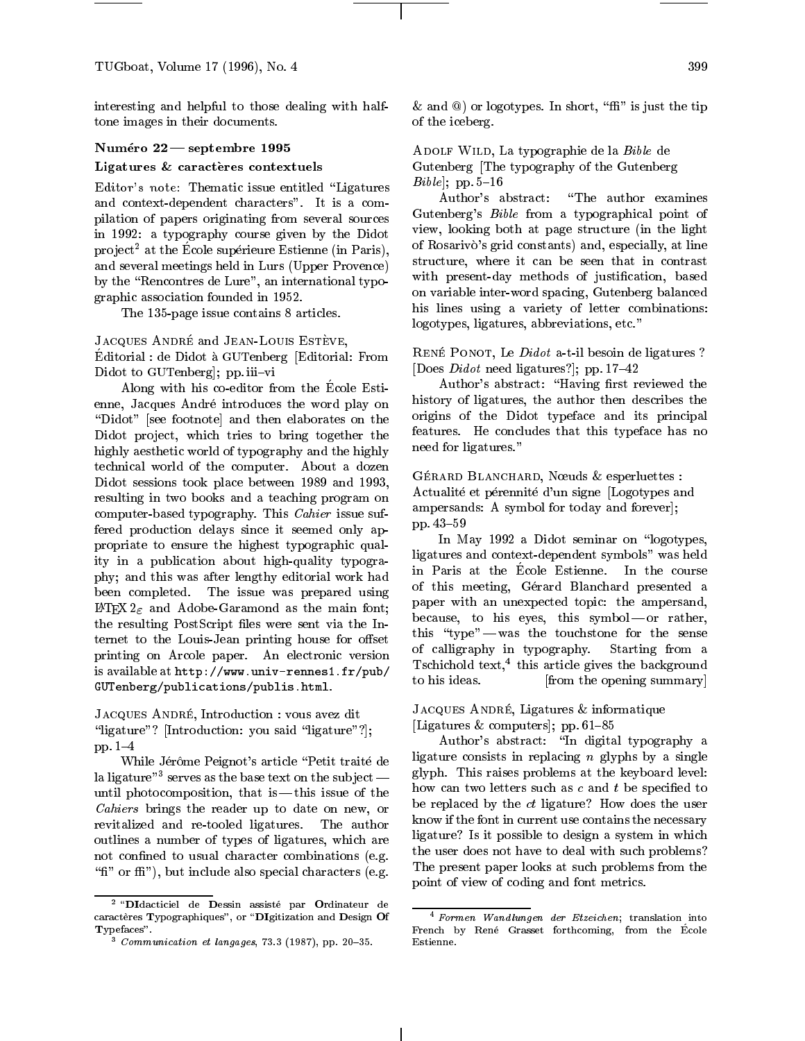interesting and helpful to those dealing with halftone images in their documents.

#### Numéro 22 — septembre 1995

#### Ligatures & caracteres contextuels

Editor's note: Thematic issue entitled "Ligatures" and context-dependent characters". It is a compilation of papers originating from several sources in 1992: a typography course given by the Didot project<sup>2</sup> at the Ecole superieure Estienne (in Paris), and several meetings held in Lurs (Upper Provence) by the "Rencontres de Lure", an international typographic association founded in 1952.

The 135-page issue contains 8 articles.

#### JACQUES ANDRÉ and JEAN-LOUIS ESTÈVE,

Editorial : de Didot aGUTenberg [Editorial: From Didot to GUTenberg]; pp. iii-vi

Along with his co-editor from the Ecole Estienne, Jacques Andre introduces the word play on "Didot" [see footnote] and then elaborates on the Didot project, which tries to bring together the highly aesthetic world of typography and the highly technical world of the computer. About a dozen Didot sessions took place between 1989 and 1993, resulting in two books and a teaching program on computer-based typography. This Cahier issue suffered production delays since it seemed only appropriate to ensure the highest typographic quality in a publication about high-quality typography; and this was after lengthy editorial work had been completed. The issue was prepared using LATEX  $2\varepsilon$  and Adobe-Garamond as the main font; the resulting PostScript files were sent via the Internet to the Louis-Jean printing house for offset printing on Arcole paper. An electronic version is available at  $http://www.univ-rennes1.fr/pub/$   $1^{sclit}$  is ideas. GUTenberg/publications/publis.html.

JACQUES ANDRÉ, Introduction : vous avez dit "ligature"? [Introduction: you said "ligature"?]; pp. 1-4

While Jérôme Peignot's article "Petit traité de ia ligature  $\sim$  serves as the base text on the subject  $\sim$   $\sim$   $\sim$   $\sim$   $\sim$   $\sim$ until photocomposition, that is  $-$  this issue of the Cahiers brings the reader up to date on new, or revitalized and re-tooled ligatures. The author outlines a number of types of ligatures, which are not confined to usual character combinations (e.g. "fi" or ffi"), but include also special characters (e.g.

 $\&$  and  $\&$ ) or logotypes. In short, " $\mbox{f\hspace{-.1em}h\hspace{-.1em}v}$ " is just the tip of the iceberg.

ADOLF WILD, La typographie de la Bible de Gutenberg [The typography of the Gutenberg  $Bible$ ; pp. 5-16

Author's abstract: "The author examines Gutenberg's Bible from a typographical point of view, looking both at page structure (in the light of Rosarivo's grid constants) and, especially, at line structure, where it can be seen that in contrast with present-day methods of justification, based on variable inter-word spacing, Gutenberg balanced his lines using a variety of letter combinations: logotypes, ligatures, abbreviations, etc."

RENÉ PONOT, Le *Didot* a-t-il besoin de ligatures ? [Does *Didot* need ligatures?]; pp.  $17-42$ 

Author's abstract: "Having first reviewed the history of ligatures, the author then describes the origins of the Didot typeface and its principal features. He concludes that this typeface has no need for ligatures."

GÉRARD BLANCHARD, Nœuds & esperluettes : Actualité et pérennité d'un signe [Logotypes and ampersands: A symbol for today and forever]; pp. 43-59

In May 1992 a Didot seminar on "logotypes, ligatures and context-dependent symbols" was held in Paris at the Ecole Estienne. In the course of this meeting, Gerard Blanchard presented a paper with an unexpected topic: the ampersand, because, to his eyes, this symbol-or rather, this "type" - was the touchstone for the sense of calligraphy in typography. Starting from a Tschichold text,4 this article gives the background [from the opening summary]

# JACQUES ANDRÉ, Ligatures & informatique [Ligatures  $&$  computers]; pp. 61-85

Author's abstract: "In digital typography a ligature consists in replacing  $n$  glyphs by a single glyph. This raises problems at the keyboard level: how can two letters such as  $c$  and  $t$  be specified to be replaced by the *ct* ligature? How does the user know if the font in current use contains the necessary ligature? Is it possible to design a system in which the user does not have to deal with such problems? The present paper looks at such problems from the point of view of coding and font metrics.

 $-$  Didacticiel de Dessin assiste par Ordinateur de  $\alpha$ racteres Typographiques", or  $\Delta$ DIgitization and Design Of <sup>T</sup>ypefaces".

 $\sim$  Communication et languages, 73.3 (1987), pp. 20=35.

<sup>4</sup> Formen Wand lungen der Etzeichen; translation into French by Rene Grasset forthcoming, from the Ecole Estienne.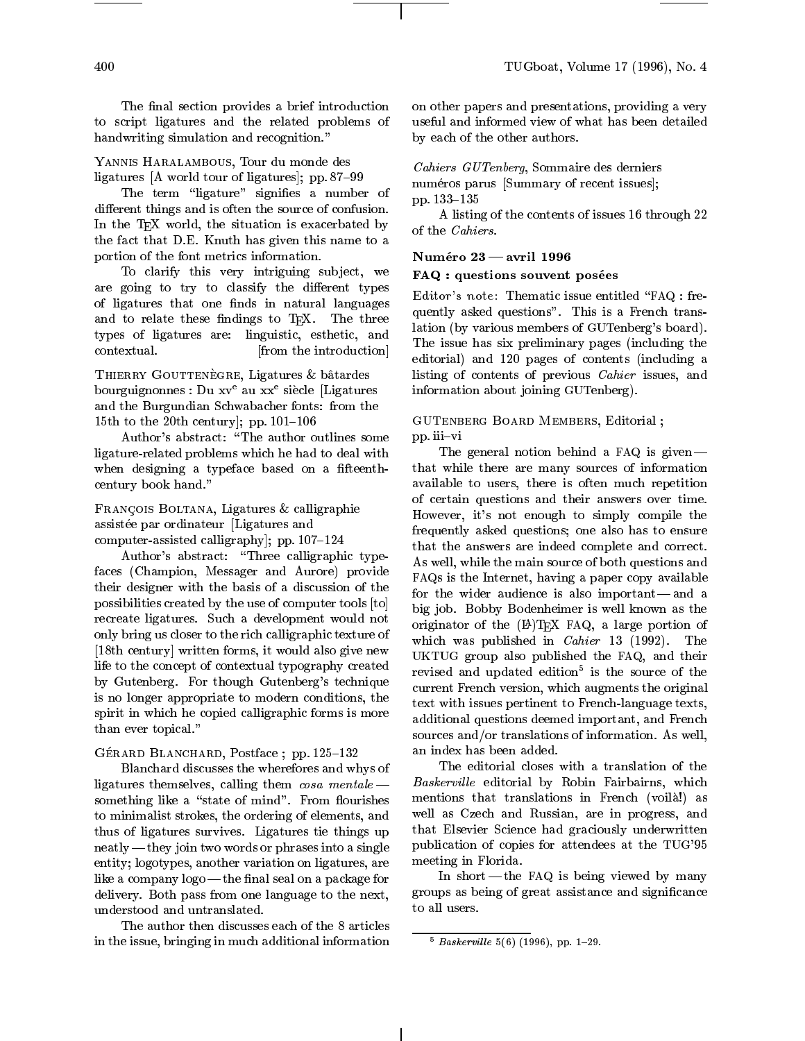The final section provides a brief introduction to script ligatures and the related problems of handwriting simulation and recognition."

## YANNIS HARALAMBOUS, Tour du monde des ligatures  $[A$  world tour of ligatures]; pp. 87-99

The term "ligature" signifies a number of different things and is often the source of confusion. In the TEX world, the situation is exacerbated by the fact that D.E. Knuth has given this name to a portion of the font metrics information.

To clarify this very intriguing subject, we are going to try to classify the different types of ligatures that one finds in natural languages and to relate these findings to TEX. The three types of ligatures are: linguistic, esthetic, and contextual. [from the introduction]

THIERRY GOUTTENÈGRE, Ligatures & bâtardes bourguignonnes : Du xve au xxe siecle [Ligatures and the Burgundian Schwabacher fonts: from the 15th to the 20th century]; pp.  $101-106$ 

Author's abstract: "The author outlines some ligature-related problems which he had to deal with when designing a typeface based on a fifteenthcentury book hand."

FRANÇOIS BOLTANA, Ligatures & calligraphie assistée par ordinateur [Ligatures and computer-assisted calligraphy]; pp.  $107{-}124$ 

Author's abstract: "Three calligraphic typefaces (Champion, Messager and Aurore) provide their designer with the basis of a discussion of the possibilities created by the use of computer tools [to] recreate ligatures. Such a development would not only bring us closer to the rich calligraphic texture of [18th century] written forms, it would also give new life to the concept of contextual typography created by Gutenberg. For though Gutenberg's technique is no longer appropriate to modern conditions, the spirit in which he copied calligraphic forms is more than ever topical."

#### GÉRARD BLANCHARD, Postface ; pp. 125-132

Blanchard discusses the wherefores and whys of ligatures themselves, calling them  $\cos a$  mentale  $$ something like a "state of mind". From flourishes to minimalist strokes, the ordering of elements, and thus of ligatures survives. Ligatures tie things up  $\text{neatly—they join two words or phrases into a single}$ entity; logotypes, another variation on ligatures, are like a company  $logo$  — the final seal on a package for delivery. Both pass from one language to the next, understood and untranslated.

The author then discusses each of the 8 articles in the issue, bringing in much additional information on other papers and presentations, providing a very useful and informed view of what has been detailed by each of the other authors.

Cahiers GUTenberg, Sommaire des derniers numéros parus [Summary of recent issues]; pp. 133-135

A listing of the contents of issues 16 through 22 of the Cahiers.

### $\blacksquare$  avril 1990  $\blacksquare$

# FAQ : questions souvent posées

Editor's note: Thematic issue entitled \FAQ : frequently asked questions". This is a French translation (by various members of GUTenberg's board). The issue has six preliminary pages (including the editorial) and 120 pages of contents (including a listing of contents of previous Cahier issues, and information about joining GUTenberg).

#### GUTenberg Board Members, Editorial ; pp. iii-vi

The general notion behind a FAQ is given  $$ that while there are many sources of information available to users, there is often much repetition of certain questions and their answers over time. However, it's not enough to simply compile the frequently asked questions; one also has to ensure that the answers are indeed complete and correct. As well, while the main source of both questions and FAQs is the Internet, having a paper copy available for the wider audience is also important $-$  and a big job. Bobby Bodenheimer is well known as the originator of the  $(L<sup>A</sup>)$ T<sub>E</sub>X FAQ, a large portion of which was published in *Cahier* 13 (1992). The UKTUG group also published the FAQ, and their revised and updated edition<sup>5</sup> is the source of the current French version, which augments the original text with issues pertinent to French-language texts, additional questions deemed important, and French sources and/or translations of information. As well, an index has been added.

The editorial closes with a translation of the  $D$ uskerville editorial by Robin Fairbairns, which mentions that translations in French (voila!) as well as Czech and Russian, are in progress, and that Elsevier Science had graciously underwritten publication of copies for attendees at the TUG'95 meeting in Florida.

In short — the FAQ is being viewed by many groups as being of great assistance and signicance to all users.

 $-$  Buskerville 5(6) (1996), DD. 1-29.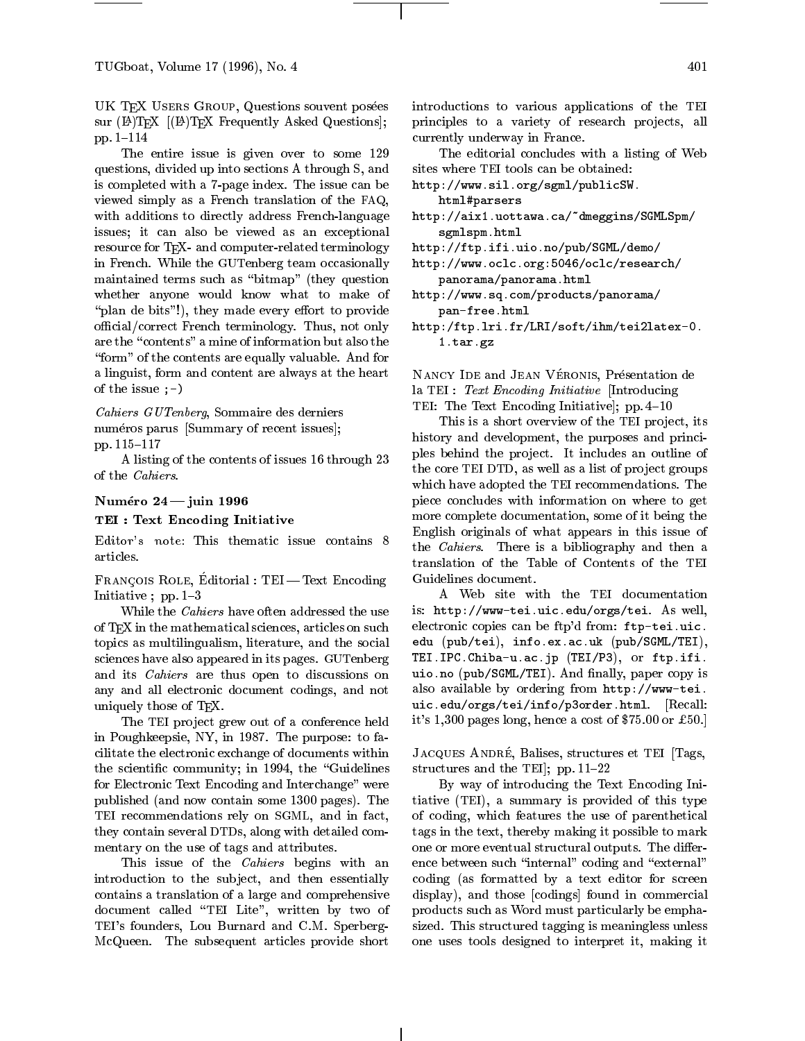TUGboat, Volume 17 (1996), No. 4

UK TEX USERS GROUP, Questions souvent posées sur (LA)TEX [(LA)TEX Frequently Asked Questions]; pp. 1-114

The entire issue is given over to some 129 questions, divided up into sections A through S, and is completed with a 7-page index. The issue can be viewed simply as a French translation of the FAQ, with additions to directly address French-language issues; it can also be viewed as an exceptional resource for T<sub>F</sub>X- and computer-related terminology in French. While the GUTenberg team occasionally maintained terms such as "bitmap" (they question whether anyone would know what to make of "plan de bits"!), they made every effort to provide official/correct French terminology. Thus, not only are the "contents" a mine of information but also the "form" of the contents are equally valuable. And for a linguist, form and content are always at the heart of the issue ;-)

Cahiers GUTenberg, Sommaire des derniers numéros parus [Summary of recent issues]; pp. 115-117

A listing of the contents of issues 16 through 23 of the Cahiers.

#### Numéro  $24 -$ juin 1996

#### TEI : Text Encoding Initiative

Editor's note: This thematic issue contains 8 articles.

Francois Role, Editorial : TEI| T ext Encoding Initiative;  $pp. 1-3$ 

While the Cahiers have often addressed the use of T<sub>E</sub>X in the mathematical sciences, articles on such topics as multilingualism, literature, and the social sciences have also appeared in its pages. GUTenberg and its Cahiers are thus open to discussions on any and all electronic document codings, and not uniquely those of T<sub>F</sub>X.

The TEI project grew out of a conference held in Poughkeepsie, NY, in 1987. The purpose: to facilitate the electronic exchange of documents within the scientific community; in 1994, the "Guidelines for Electronic Text Encoding and Interchange" were published (and now contain some 1300 pages). The TEI recommendations rely on SGML, and in fact, they contain several DTDs, along with detailed commentary on the use of tags and attributes.

This issue of the *Cahiers* begins with an introduction to the subject, and then essentially contains a translation of a large and comprehensive document called \TEI Lite", written by two of TEI's founders, Lou Burnard and C.M. Sperberg-McQueen. The subsequent articles provide short introductions to various applications of the TEI principles to a variety of research projects, all currently underway in France.

The editorial concludes with a listing of Web sites where TEI tools can be obtained:

http://www.sil.org/sgml/publicSW.

- html#parsershttp://aix1.uottawa.ca/~dmeggins/SGMLSpm/sgmlspm.html
- http://ftp.ifi.uio.no/pub/SGML/demo/
- http://www.oclc.org:5046/oclc/research/panorama/panorama.html
- http://www.sq.com/products/panorama/pan-free.html
- http:/ftp.lri.fr/LRI/soft/ihm/tei2latex-0.1.tar.gz

NANCY IDE and JEAN VÉRONIS, Présentation de la TEI : Text Encoding Initiative [Introducing TEI: The Text Encoding Initiative];  $pp. 4-10$ 

This is a short overview of the TEI project, its history and development, the purposes and principles behind the project. It includes an outline of the core TEI DTD, as well as a list of project groups which have adopted the TEI recommendations. The piece concludes with information on where to get more complete documentation, some of it being the English originals of what appears in this issue of the *Cahiers*. There is a bibliography and then a translation of the Table of Contents of the TEI Guidelines document.

A Web site with the TEI documentation is: http://www-tei.uic.edu/orgs/tei. As well, electronic copies can be ftp'd from: ftp-tei.uic. edu (pub/tei), info.ex.ac.uk (pub/SGML/TEI), TEI.IPC.Chiba-u.ac.jp (TEI/P3), or ftp.ifi. as a control to the public order of the copy is the set of  $\mu$  and  $\mu$  is the copy is the copy is the copy is the copy is the copy is the copy is the copy of the copy is the copy of the copy of the copy of the copy of th also available by ordering from http://www-tei. uic.edu/orgs/tei/info/p3order.html. [Recall: it's 1,300 pages long, hence a cost of \$75.00 or £50.]

JACQUES ANDRÉ, Balises, structures et TEI [Tags, structures and the TEI, pp.  $11{-}22$ 

By way of introducing the Text Encoding Initiative (TEI), a summary is provided of this type of coding, which features the use of parenthetical tags in the text, thereby making it possible to mark one or more eventual structural outputs. The difference between such "internal" coding and "external" coding (as formatted by a text editor for screen display), and those [codings] found in commercial products such as Word must particularly be emphasized. This structured tagging is meaningless unless one uses tools designed to interpret it, making it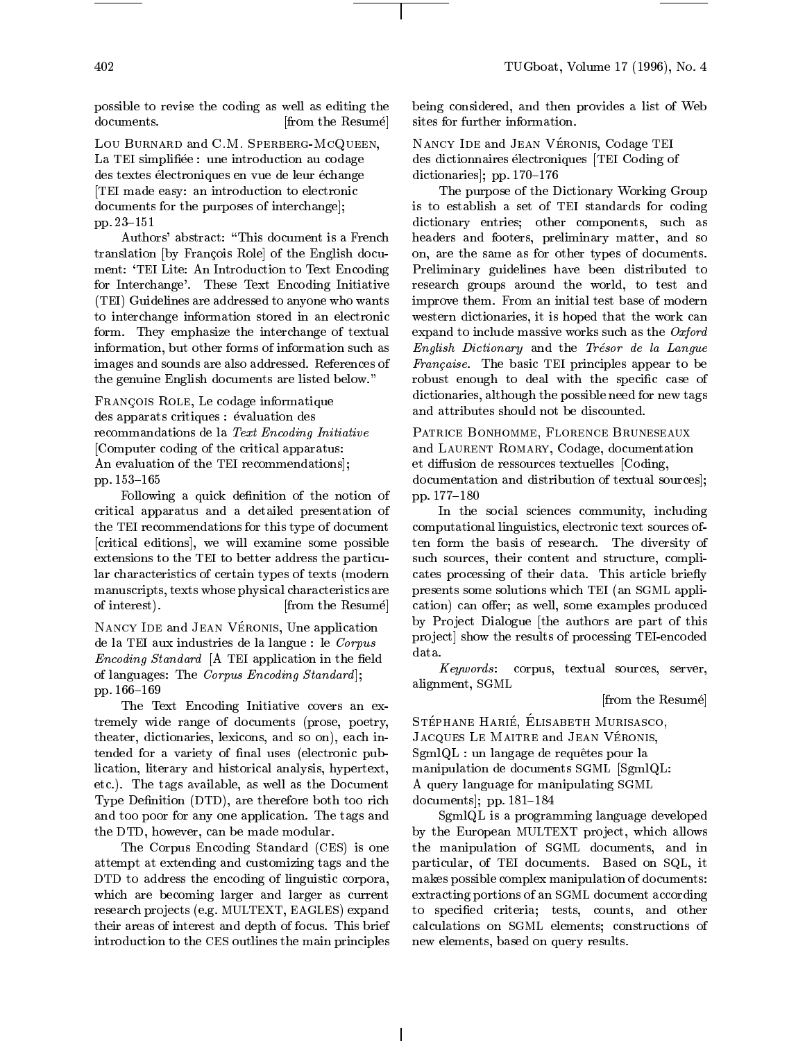possible to revise the coding as well as editing the documents. **[from the Resume]** 

Lou Burnard and C.M. Sperberg-McQueen, La TEI simplifiée : une introduction au codage des textes électroniques en vue de leur échange [TEI made easy: an introduction to electronic documents for the purposes of interchange]; pp. 23-151

Authors' abstract: \This document is a French translation [by Francois Role] of the English document: `TEI Lite: An Introduction to Text Encoding for Interchange'. These Text Encoding Initiative (TEI) Guidelines are addressed to anyone who wants to interchange information stored in an electronic form. They emphasize the interchange of textual information, but other forms of information such as images and sounds are also addressed. References of the genuine English documents are listed below."

Francois Role, Le codage informatique des apparats critiques : évaluation des recommandations de la Text Encoding Initiative [Computer coding of the critical apparatus: An evaluation of the TEI recommendations]; pp. 153-165

Following a quick definition of the notion of critical apparatus and a detailed presentation of the TEI recommendations for this type of document [critical editions], we will examine some possible extensions to the TEI to better address the particular characteristics of certain types of texts (modern manuscripts, texts whose physical characteristics are of interest). [from the Resume]

NANCY IDE and JEAN VÉRONIS, Une application de la TEI aux industries de la langue : le  $Corpus$  proje  $E$ ncoamg Standard  $\vert A \vert$  TEI application in the neighborhood of languages: The Corpus Encoding Standard ]; pp. 166-169

The Text Encoding Initiative covers an extremely wide range of documents (prose, poetry, theater, dictionaries, lexicons, and so on), each intended for a variety of final uses (electronic publication, literary and historical analysis, hypertext, etc.). The tags available, as well as the Document Type Definition (DTD), are therefore both too rich and too poor for any one application. The tags and the DTD, however, can be made modular.

The Corpus Encoding Standard (CES) is one attempt at extending and customizing tags and the DTD to address the encoding of linguistic corpora, which are becoming larger and larger as current research projects (e.g. MULTEXT, EAGLES) expand their areas of interest and depth of focus. This brief introduction to the CES outlines the main principles being considered, and then provides a list of Web sites for further information.

NANCY IDE and JEAN VÉRONIS, Codage TEI des dictionnaires électroniques [TEI Coding of dictionaries]; pp.  $170-176$ 

The purpose of the Dictionary Working Group is to establish a set of TEI standards for coding dictionary entries; other components, such as headers and footers, preliminary matter, and so on, are the same as for other types of documents. Preliminary guidelines have been distributed to research groups around the world, to test and improve them. From an initial test base of modern western dictionaries, it is hoped that the work can expand to include massive works such as the  $Oxford$ English Dictionary and the Tresor de la Langue Francaise. The basic TEI principles appear to be robust enough to deal with the specific case of dictionaries, although the possible need for new tags and attributes should not be discounted.

PATRICE BONHOMME, FLORENCE BRUNESEAUX and LAURENT ROMARY, Codage, documentation et diffusion de ressources textuelles [Coding, documentation and distribution of textual sources]; pp. 177-180

In the social sciences community, including computational linguistics, electronic text sources often form the basis of research. The diversity of such sources, their content and structure, complicates processing of their data. This article briefly presents some solutions which TEI (an SGML application) can offer; as well, some examples produced by Project Dialogue [the authors are part of this project] show the results of processing TEI-encoded

Keywords : corpus, textual sources, server, alignment, SGML

[from the Resume]

STÉPHANE HARIÉ, ELISABETH MURISASCO, JACQUES LE MAITRE and JEAN VÉRONIS, SgmlQL : un langage de requ^etes pour la manipulation de documents SGML [SgmlQL: A query language for manipulating SGML documents];  $pp. 181-184$ 

SgmlQL is a programming language developed by the European MULTEXT project, which allows the manipulation of SGML documents, and in particular, of TEI documents. Based on SQL, it makes possible complex manipulation of documents: extracting portions of an SGML document according to specified criteria; tests, counts, and other calculations on SGML elements; constructions of new elements, based on query results.